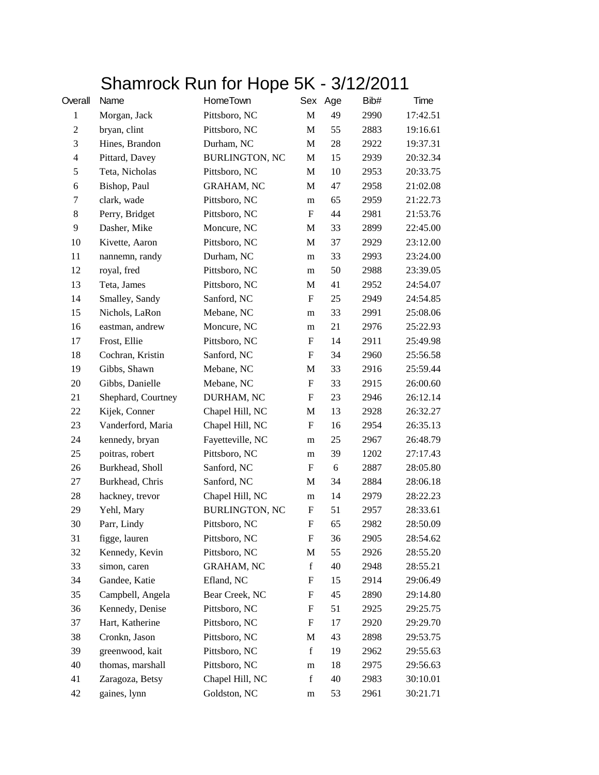## Shamrock Run for Hope 5K - 3/12/2011

| Overall        | Name               | HomeTown              |                           | Sex Age | Bib# | Time     |
|----------------|--------------------|-----------------------|---------------------------|---------|------|----------|
| $\mathbf{1}$   | Morgan, Jack       | Pittsboro, NC         | M                         | 49      | 2990 | 17:42.51 |
| $\overline{c}$ | bryan, clint       | Pittsboro, NC         | M                         | 55      | 2883 | 19:16.61 |
| 3              | Hines, Brandon     | Durham, NC            | M                         | 28      | 2922 | 19:37.31 |
| $\overline{4}$ | Pittard, Davey     | <b>BURLINGTON, NC</b> | M                         | 15      | 2939 | 20:32.34 |
| 5              | Teta, Nicholas     | Pittsboro, NC         | M                         | 10      | 2953 | 20:33.75 |
| 6              | Bishop, Paul       | <b>GRAHAM, NC</b>     | M                         | 47      | 2958 | 21:02.08 |
| 7              | clark, wade        | Pittsboro, NC         | m                         | 65      | 2959 | 21:22.73 |
| $8\phantom{1}$ | Perry, Bridget     | Pittsboro, NC         | F                         | 44      | 2981 | 21:53.76 |
| 9              | Dasher, Mike       | Moncure, NC           | M                         | 33      | 2899 | 22:45.00 |
| 10             | Kivette, Aaron     | Pittsboro, NC         | M                         | 37      | 2929 | 23:12.00 |
| 11             | nannemn, randy     | Durham, NC            | m                         | 33      | 2993 | 23:24.00 |
| 12             | royal, fred        | Pittsboro, NC         | m                         | 50      | 2988 | 23:39.05 |
| 13             | Teta, James        | Pittsboro, NC         | M                         | 41      | 2952 | 24:54.07 |
| 14             | Smalley, Sandy     | Sanford, NC           | $\boldsymbol{\mathrm{F}}$ | 25      | 2949 | 24:54.85 |
| 15             | Nichols, LaRon     | Mebane, NC            | m                         | 33      | 2991 | 25:08.06 |
| 16             | eastman, andrew    | Moncure, NC           | m                         | 21      | 2976 | 25:22.93 |
| 17             | Frost, Ellie       | Pittsboro, NC         | F                         | 14      | 2911 | 25:49.98 |
| 18             | Cochran, Kristin   | Sanford, NC           | F                         | 34      | 2960 | 25:56.58 |
| 19             | Gibbs, Shawn       | Mebane, NC            | M                         | 33      | 2916 | 25:59.44 |
| 20             | Gibbs, Danielle    | Mebane, NC            | ${\bf F}$                 | 33      | 2915 | 26:00.60 |
| 21             | Shephard, Courtney | DURHAM, NC            | $\boldsymbol{\mathrm{F}}$ | 23      | 2946 | 26:12.14 |
| 22             | Kijek, Conner      | Chapel Hill, NC       | M                         | 13      | 2928 | 26:32.27 |
| 23             | Vanderford, Maria  | Chapel Hill, NC       | ${\bf F}$                 | 16      | 2954 | 26:35.13 |
| 24             | kennedy, bryan     | Fayetteville, NC      | m                         | 25      | 2967 | 26:48.79 |
| 25             | poitras, robert    | Pittsboro, NC         | m                         | 39      | 1202 | 27:17.43 |
| 26             | Burkhead, Sholl    | Sanford, NC           | $\boldsymbol{\mathrm{F}}$ | 6       | 2887 | 28:05.80 |
| 27             | Burkhead, Chris    | Sanford, NC           | M                         | 34      | 2884 | 28:06.18 |
| 28             | hackney, trevor    | Chapel Hill, NC       | m                         | 14      | 2979 | 28:22.23 |
| 29             | Yehl, Mary         | <b>BURLINGTON, NC</b> | F                         | 51      | 2957 | 28:33.61 |
| 30             | Parr, Lindy        | Pittsboro, NC         | $\boldsymbol{\mathrm{F}}$ | 65      | 2982 | 28:50.09 |
| 31             | figge, lauren      | Pittsboro, NC         | F                         | 36      | 2905 | 28:54.62 |
| 32             | Kennedy, Kevin     | Pittsboro, NC         | M                         | 55      | 2926 | 28:55.20 |
| 33             | simon, caren       | <b>GRAHAM, NC</b>     | $\mathbf f$               | 40      | 2948 | 28:55.21 |
| 34             | Gandee, Katie      | Efland, NC            | F                         | 15      | 2914 | 29:06.49 |
| 35             | Campbell, Angela   | Bear Creek, NC        | $\boldsymbol{F}$          | 45      | 2890 | 29:14.80 |
| 36             | Kennedy, Denise    | Pittsboro, NC         | F                         | 51      | 2925 | 29:25.75 |
| 37             | Hart, Katherine    | Pittsboro, NC         | F                         | 17      | 2920 | 29:29.70 |
| 38             | Cronkn, Jason      | Pittsboro, NC         | M                         | 43      | 2898 | 29:53.75 |
| 39             | greenwood, kait    | Pittsboro, NC         | $\mathbf f$               | 19      | 2962 | 29:55.63 |
| 40             | thomas, marshall   | Pittsboro, NC         | m                         | 18      | 2975 | 29:56.63 |
| 41             | Zaragoza, Betsy    | Chapel Hill, NC       | $\mathbf f$               | 40      | 2983 | 30:10.01 |
| 42             | gaines, lynn       | Goldston, NC          | m                         | 53      | 2961 | 30:21.71 |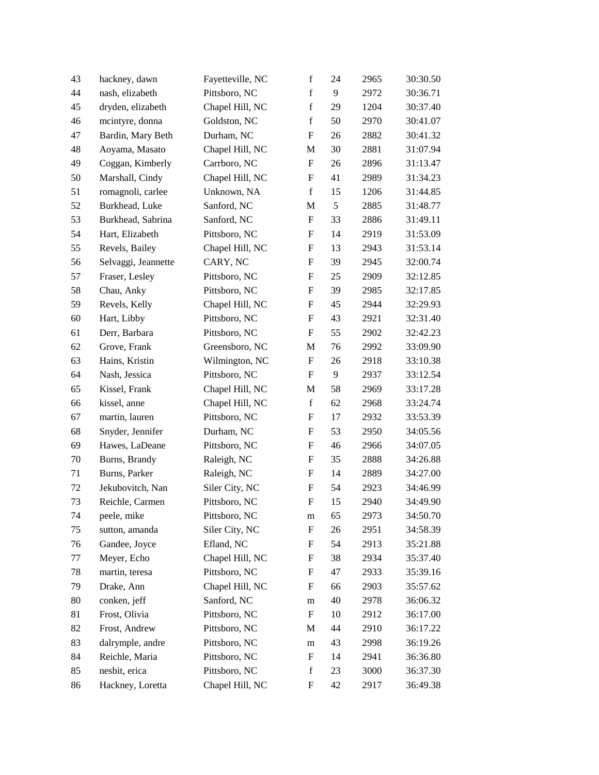| 43 | hackney, dawn       | Fayetteville, NC | $\mathbf f$               | 24 | 2965 | 30:30.50 |
|----|---------------------|------------------|---------------------------|----|------|----------|
| 44 | nash, elizabeth     | Pittsboro, NC    | $\mathbf f$               | 9  | 2972 | 30:36.71 |
| 45 | dryden, elizabeth   | Chapel Hill, NC  | $\mathbf f$               | 29 | 1204 | 30:37.40 |
| 46 | mcintyre, donna     | Goldston, NC     | $\mathbf f$               | 50 | 2970 | 30:41.07 |
| 47 | Bardin, Mary Beth   | Durham, NC       | F                         | 26 | 2882 | 30:41.32 |
| 48 | Aoyama, Masato      | Chapel Hill, NC  | M                         | 30 | 2881 | 31:07.94 |
| 49 | Coggan, Kimberly    | Carrboro, NC     | F                         | 26 | 2896 | 31:13.47 |
| 50 | Marshall, Cindy     | Chapel Hill, NC  | F                         | 41 | 2989 | 31:34.23 |
| 51 | romagnoli, carlee   | Unknown, NA      | $\mathbf f$               | 15 | 1206 | 31:44.85 |
| 52 | Burkhead, Luke      | Sanford, NC      | M                         | 5  | 2885 | 31:48.77 |
| 53 | Burkhead, Sabrina   | Sanford, NC      | ${\bf F}$                 | 33 | 2886 | 31:49.11 |
| 54 | Hart, Elizabeth     | Pittsboro, NC    | F                         | 14 | 2919 | 31:53.09 |
| 55 | Revels, Bailey      | Chapel Hill, NC  | F                         | 13 | 2943 | 31:53.14 |
| 56 | Selvaggi, Jeannette | CARY, NC         | F                         | 39 | 2945 | 32:00.74 |
| 57 | Fraser, Lesley      | Pittsboro, NC    | F                         | 25 | 2909 | 32:12.85 |
| 58 | Chau, Anky          | Pittsboro, NC    | F                         | 39 | 2985 | 32:17.85 |
| 59 | Revels, Kelly       | Chapel Hill, NC  | F                         | 45 | 2944 | 32:29.93 |
| 60 | Hart, Libby         | Pittsboro, NC    | F                         | 43 | 2921 | 32:31.40 |
| 61 | Derr, Barbara       | Pittsboro, NC    | F                         | 55 | 2902 | 32:42.23 |
| 62 | Grove, Frank        | Greensboro, NC   | M                         | 76 | 2992 | 33:09.90 |
| 63 | Hains, Kristin      | Wilmington, NC   | F                         | 26 | 2918 | 33:10.38 |
| 64 | Nash, Jessica       | Pittsboro, NC    | F                         | 9  | 2937 | 33:12.54 |
| 65 | Kissel, Frank       | Chapel Hill, NC  | $\mathbf M$               | 58 | 2969 | 33:17.28 |
| 66 | kissel, anne        | Chapel Hill, NC  | $\mathbf f$               | 62 | 2968 | 33:24.74 |
| 67 | martin, lauren      | Pittsboro, NC    | F                         | 17 | 2932 | 33:53.39 |
| 68 | Snyder, Jennifer    | Durham, NC       | F                         | 53 | 2950 | 34:05.56 |
| 69 | Hawes, LaDeane      | Pittsboro, NC    | F                         | 46 | 2966 | 34:07.05 |
| 70 | Burns, Brandy       | Raleigh, NC      | F                         | 35 | 2888 | 34:26.88 |
| 71 | Burns, Parker       | Raleigh, NC      | F                         | 14 | 2889 | 34:27.00 |
| 72 | Jekubovitch, Nan    | Siler City, NC   | $\boldsymbol{\mathrm{F}}$ | 54 | 2923 | 34:46.99 |
| 73 | Reichle, Carmen     | Pittsboro, NC    | $\boldsymbol{\mathrm{F}}$ | 15 | 2940 | 34:49.90 |
| 74 | peele, mike         | Pittsboro, NC    | m                         | 65 | 2973 | 34:50.70 |
| 75 | sutton, amanda      | Siler City, NC   | F                         | 26 | 2951 | 34:58.39 |
| 76 | Gandee, Joyce       | Efland, NC       | $\boldsymbol{F}$          | 54 | 2913 | 35:21.88 |
| 77 | Meyer, Echo         | Chapel Hill, NC  | F                         | 38 | 2934 | 35:37.40 |
| 78 | martin, teresa      | Pittsboro, NC    | F                         | 47 | 2933 | 35:39.16 |
| 79 | Drake, Ann          | Chapel Hill, NC  | F                         | 66 | 2903 | 35:57.62 |
| 80 | conken, jeff        | Sanford, NC      | m                         | 40 | 2978 | 36:06.32 |
| 81 | Frost, Olivia       | Pittsboro, NC    | F                         | 10 | 2912 | 36:17.00 |
| 82 | Frost, Andrew       | Pittsboro, NC    | M                         | 44 | 2910 | 36:17.22 |
| 83 | dalrymple, andre    | Pittsboro, NC    | m                         | 43 | 2998 | 36:19.26 |
| 84 | Reichle, Maria      | Pittsboro, NC    | F                         | 14 | 2941 | 36:36.80 |
| 85 | nesbit, erica       | Pittsboro, NC    | $\mathbf f$               | 23 | 3000 | 36:37.30 |
| 86 | Hackney, Loretta    | Chapel Hill, NC  | F                         | 42 | 2917 | 36:49.38 |